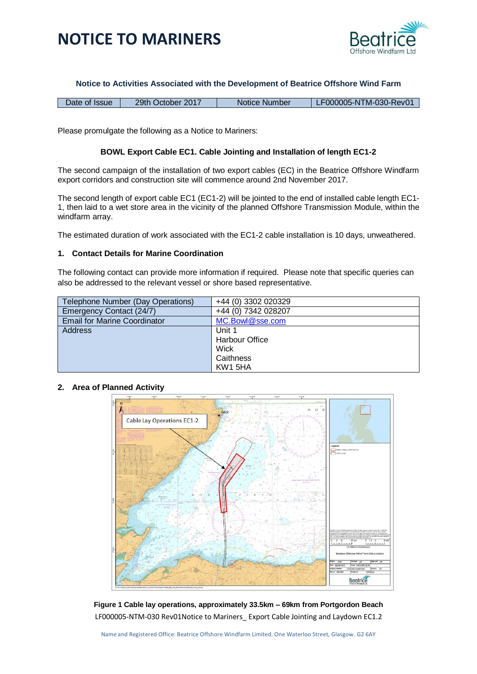



#### **Notice to Activities Associated with the Development of Beatrice Offshore Wind Farm**

| Date of Issue | 29th October 2017 | Notice Number | LF000005-NTM-030-Rev01 |
|---------------|-------------------|---------------|------------------------|
|---------------|-------------------|---------------|------------------------|

Please promulgate the following as a Notice to Mariners:

#### **BOWL Export Cable EC1. Cable Jointing and Installation of length EC1-2**

The second campaign of the installation of two export cables (EC) in the Beatrice Offshore Windfarm export corridors and construction site will commence around 2nd November 2017.

The second length of export cable EC1 (EC1-2) will be jointed to the end of installed cable length EC1- 1, then laid to a wet store area in the vicinity of the planned Offshore Transmission Module, within the windfarm array.

The estimated duration of work associated with the EC1-2 cable installation is 10 days, unweathered.

#### **1. Contact Details for Marine Coordination**

The following contact can provide more information if required. Please note that specific queries can also be addressed to the relevant vessel or shore based representative.

| Telephone Number (Day Operations)   | +44 (0) 3302 020329   |  |
|-------------------------------------|-----------------------|--|
| Emergency Contact (24/7)            | +44 (0) 7342 028207   |  |
| <b>Email for Marine Coordinator</b> | MC.Bowl@sse.com       |  |
| Address                             | Unit 1                |  |
|                                     | <b>Harbour Office</b> |  |
|                                     | Wick                  |  |
|                                     | Caithness             |  |
|                                     | KW1 5HA               |  |

### **2. Area of Planned Activity**



LF000005-NTM-030 Rev01Notice to Mariners\_ Export Cable Jointing and Laydown EC1.2 **Figure 1 Cable lay operations, approximately 33.5km – 69km from Portgordon Beach**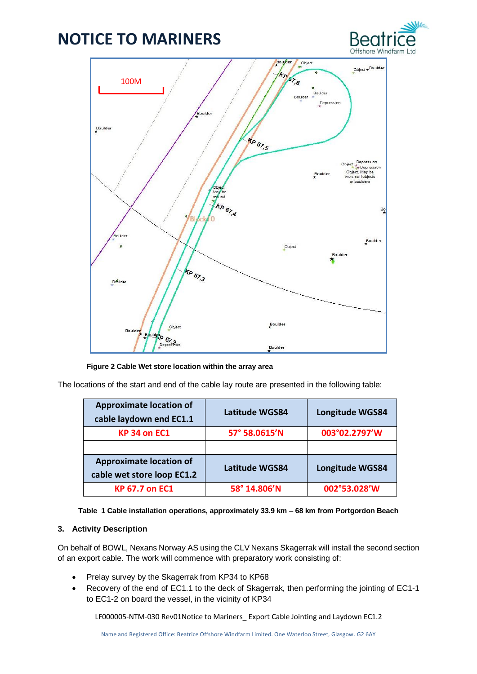



**Figure 2 Cable Wet store location within the array area**

The locations of the start and end of the cable lay route are presented in the following table:

| <b>Approximate location of</b><br>cable laydown end EC1.1    | <b>Latitude WGS84</b> | Longitude WGS84 |  |
|--------------------------------------------------------------|-----------------------|-----------------|--|
| <b>KP 34 on EC1</b>                                          | 57° 58.0615'N         | 003°02.2797'W   |  |
|                                                              |                       |                 |  |
| <b>Approximate location of</b><br>cable wet store loop EC1.2 | <b>Latitude WGS84</b> | Longitude WGS84 |  |
| <b>KP 67.7 on EC1</b>                                        | 58° 14.806'N          | 002°53.028'W    |  |

|  |  | Table 1 Cable installation operations, approximately 33.9 km – 68 km from Portgordon Beach |  |  |  |  |  |  |
|--|--|--------------------------------------------------------------------------------------------|--|--|--|--|--|--|
|--|--|--------------------------------------------------------------------------------------------|--|--|--|--|--|--|

### **3. Activity Description**

On behalf of BOWL, Nexans Norway AS using the CLV Nexans Skagerrak will install the second section of an export cable. The work will commence with preparatory work consisting of:

- Prelay survey by the Skagerrak from KP34 to KP68
- Recovery of the end of EC1.1 to the deck of Skagerrak, then performing the jointing of EC1-1 to EC1-2 on board the vessel, in the vicinity of KP34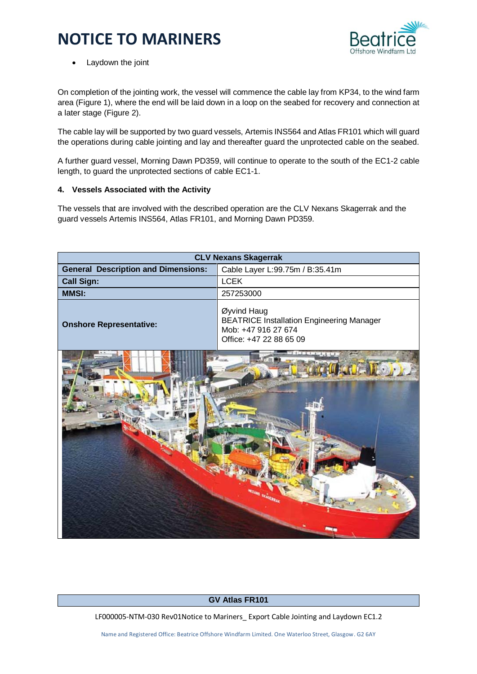

• Laydown the joint

On completion of the jointing work, the vessel will commence the cable lay from KP34, to the wind farm area (Figure 1), where the end will be laid down in a loop on the seabed for recovery and connection at a later stage (Figure 2).

The cable lay will be supported by two guard vessels, Artemis INS564 and Atlas FR101 which will guard the operations during cable jointing and lay and thereafter guard the unprotected cable on the seabed.

A further guard vessel, Morning Dawn PD359, will continue to operate to the south of the EC1-2 cable length, to guard the unprotected sections of cable EC1-1.

### **4. Vessels Associated with the Activity**

The vessels that are involved with the described operation are the CLV Nexans Skagerrak and the guard vessels Artemis INS564, Atlas FR101, and Morning Dawn PD359.

| <b>CLV Nexans Skagerrak</b>                |                                                                                                                   |  |  |
|--------------------------------------------|-------------------------------------------------------------------------------------------------------------------|--|--|
| <b>General Description and Dimensions:</b> | Cable Layer L:99.75m / B:35.41m                                                                                   |  |  |
| <b>Call Sign:</b>                          | <b>LCEK</b>                                                                                                       |  |  |
| <b>MMSI:</b>                               | 257253000                                                                                                         |  |  |
| <b>Onshore Representative:</b>             | Øyvind Haug<br><b>BEATRICE Installation Engineering Manager</b><br>Mob: +47 916 27 674<br>Office: +47 22 88 65 09 |  |  |
|                                            |                                                                                                                   |  |  |

### **GV Atlas FR101**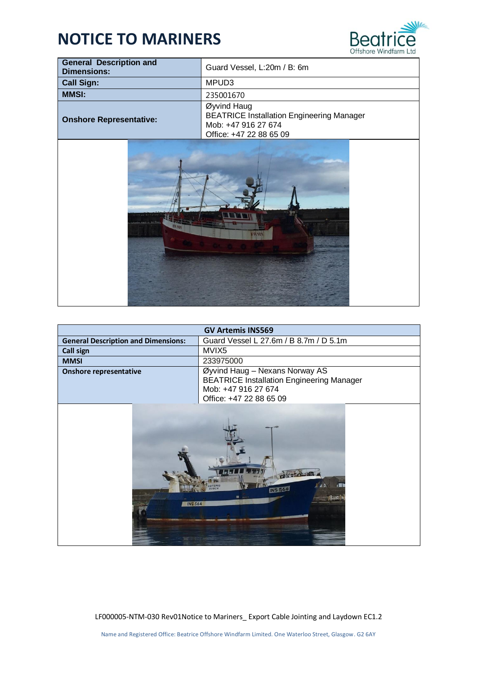

 $\overline{\phantom{a}}$ 

| <b>General Description and</b><br><b>Dimensions:</b> | Guard Vessel, L:20m / B: 6m                                                                                       |  |
|------------------------------------------------------|-------------------------------------------------------------------------------------------------------------------|--|
| <b>Call Sign:</b>                                    | MPUD3                                                                                                             |  |
| <b>MMSI:</b>                                         | 235001670                                                                                                         |  |
| <b>Onshore Representative:</b>                       | Øyvind Haug<br><b>BEATRICE Installation Engineering Manager</b><br>Mob: +47 916 27 674<br>Office: +47 22 88 65 09 |  |
| <b>R101</b>                                          | <b>FR10</b>                                                                                                       |  |

| <b>GV Artemis INS569</b>                   |                                                                                                                                      |  |  |  |
|--------------------------------------------|--------------------------------------------------------------------------------------------------------------------------------------|--|--|--|
| <b>General Description and Dimensions:</b> | Guard Vessel L 27.6m / B 8.7m / D 5.1m                                                                                               |  |  |  |
| <b>Call sign</b>                           | MVIX5                                                                                                                                |  |  |  |
| <b>MMSI</b>                                | 233975000                                                                                                                            |  |  |  |
| <b>Onshore representative</b>              | Øyvind Haug - Nexans Norway AS<br><b>BEATRICE Installation Engineering Manager</b><br>Mob: +47 916 27 674<br>Office: +47 22 88 65 09 |  |  |  |
| <b>INS 564</b>                             | <b>INS 565</b>                                                                                                                       |  |  |  |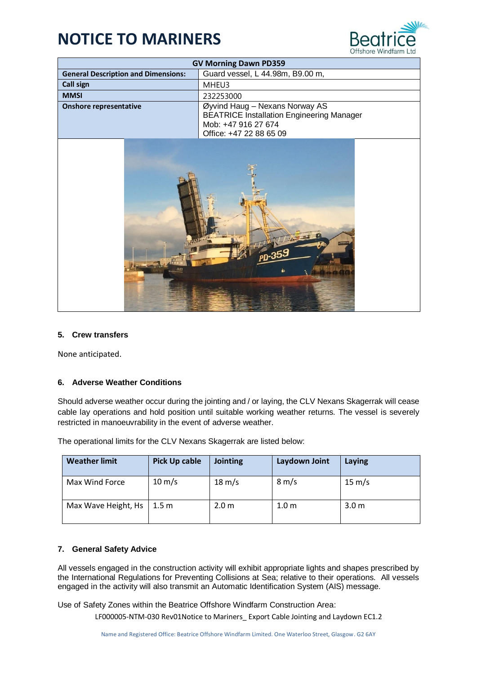

| <b>GV Morning Dawn PD359</b>                                                   |                                                                                                                                      |  |  |  |
|--------------------------------------------------------------------------------|--------------------------------------------------------------------------------------------------------------------------------------|--|--|--|
| Guard vessel, L 44.98m, B9.00 m,<br><b>General Description and Dimensions:</b> |                                                                                                                                      |  |  |  |
| Call sign                                                                      | MHEU3                                                                                                                                |  |  |  |
| <b>MMSI</b>                                                                    | 232253000                                                                                                                            |  |  |  |
| <b>Onshore representative</b>                                                  | Øyvind Haug - Nexans Norway AS<br><b>BEATRICE Installation Engineering Manager</b><br>Mob: +47 916 27 674<br>Office: +47 22 88 65 09 |  |  |  |



### **5. Crew transfers**

None anticipated.

### **6. Adverse Weather Conditions**

Should adverse weather occur during the jointing and / or laying, the CLV Nexans Skagerrak will cease cable lay operations and hold position until suitable working weather returns. The vessel is severely restricted in manoeuvrability in the event of adverse weather.

| <b>Weather limit</b> | <b>Pick Up cable</b> | <b>Jointing</b>  | Laydown Joint    | Laying           |
|----------------------|----------------------|------------------|------------------|------------------|
| Max Wind Force       | $10 \text{ m/s}$     | $18 \text{ m/s}$ | $8 \text{ m/s}$  | $15 \text{ m/s}$ |
| Max Wave Height, Hs  | 1.5 m                | 2.0 <sub>m</sub> | 1.0 <sub>m</sub> | 3.0 <sub>m</sub> |

The operational limits for the CLV Nexans Skagerrak are listed below:

### **7. General Safety Advice**

All vessels engaged in the construction activity will exhibit appropriate lights and shapes prescribed by the International Regulations for Preventing Collisions at Sea; relative to their operations. All vessels engaged in the activity will also transmit an Automatic Identification System (AIS) message.

Use of Safety Zones within the Beatrice Offshore Windfarm Construction Area: